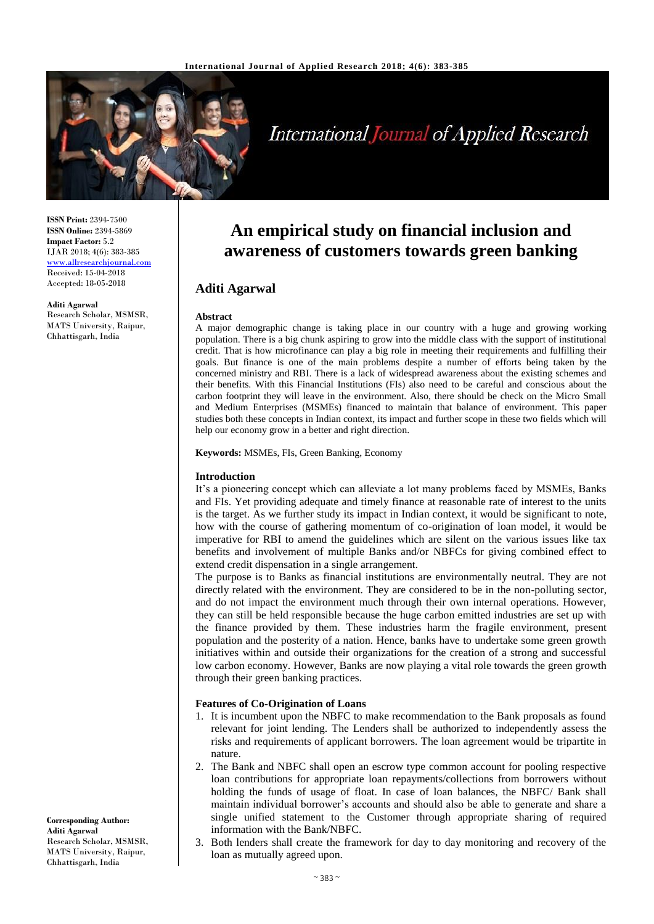

# **International Journal of Applied Research**

**ISSN Print:** 2394-7500 **ISSN Online:** 2394-5869 **Impact Factor:** 5.2 IJAR 2018; 4(6): 383-385 <www.allresearchjournal.com> Received: 15-04-2018 Accepted: 18-05-2018

**Aditi Agarwal** Research Scholar, MSMSR, MATS University, Raipur, Chhattisgarh, India

## **An empirical study on financial inclusion and awareness of customers towards green banking**

### **Aditi Agarwal**

#### **Abstract**

A major demographic change is taking place in our country with a huge and growing working population. There is a big chunk aspiring to grow into the middle class with the support of institutional credit. That is how microfinance can play a big role in meeting their requirements and fulfilling their goals. But finance is one of the main problems despite a number of efforts being taken by the concerned ministry and RBI. There is a lack of widespread awareness about the existing schemes and their benefits. With this Financial Institutions (FIs) also need to be careful and conscious about the carbon footprint they will leave in the environment. Also, there should be check on the Micro Small and Medium Enterprises (MSMEs) financed to maintain that balance of environment. This paper studies both these concepts in Indian context, its impact and further scope in these two fields which will help our economy grow in a better and right direction.

**Keywords:** MSMEs, FIs, Green Banking, Economy

#### **Introduction**

It's a pioneering concept which can alleviate a lot many problems faced by MSMEs, Banks and FIs. Yet providing adequate and timely finance at reasonable rate of interest to the units is the target. As we further study its impact in Indian context, it would be significant to note, how with the course of gathering momentum of co-origination of loan model, it would be imperative for RBI to amend the guidelines which are silent on the various issues like tax benefits and involvement of multiple Banks and/or NBFCs for giving combined effect to extend credit dispensation in a single arrangement.

The purpose is to Banks as financial institutions are environmentally neutral. They are not directly related with the environment. They are considered to be in the non-polluting sector, and do not impact the environment much through their own internal operations. However, they can still be held responsible because the huge carbon emitted industries are set up with the finance provided by them. These industries harm the fragile environment, present population and the posterity of a nation. Hence, banks have to undertake some green growth initiatives within and outside their organizations for the creation of a strong and successful low carbon economy. However, Banks are now playing a vital role towards the green growth through their green banking practices.

#### **Features of Co-Origination of Loans**

- 1. It is incumbent upon the NBFC to make recommendation to the Bank proposals as found relevant for joint lending. The Lenders shall be authorized to independently assess the risks and requirements of applicant borrowers. The loan agreement would be tripartite in nature.
- 2. The Bank and NBFC shall open an escrow type common account for pooling respective loan contributions for appropriate loan repayments/collections from borrowers without holding the funds of usage of float. In case of loan balances, the NBFC/ Bank shall maintain individual borrower's accounts and should also be able to generate and share a single unified statement to the Customer through appropriate sharing of required information with the Bank/NBFC.
- 3. Both lenders shall create the framework for day to day monitoring and recovery of the loan as mutually agreed upon.

**Corresponding Author: Aditi Agarwal** Research Scholar, MSMSR, MATS University, Raipur, Chhattisgarh, India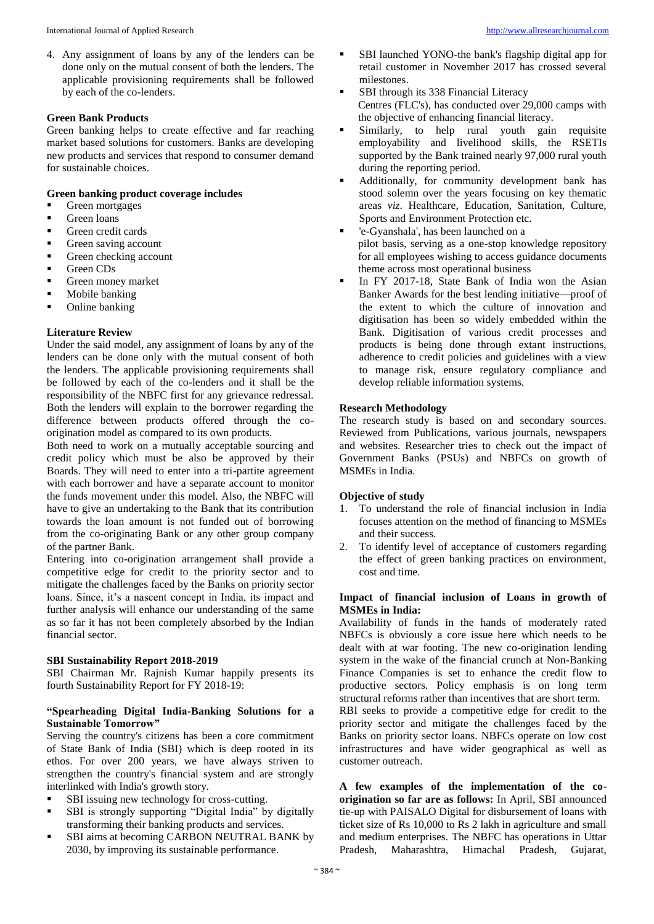4. Any assignment of loans by any of the lenders can be done only on the mutual consent of both the lenders. The applicable provisioning requirements shall be followed by each of the co-lenders.

#### **Green Bank Products**

Green banking helps to create effective and far reaching market based solutions for customers. Banks are developing new products and services that respond to consumer demand for sustainable choices.

#### **Green banking product coverage includes**

- **Green mortgages**
- **Green loans**
- **Green credit cards**
- Green saving account
- Green checking account
- Green CDs
- Green money market
- **Mobile banking**
- Online banking

#### **Literature Review**

Under the said model, any assignment of loans by any of the lenders can be done only with the mutual consent of both the lenders. The applicable provisioning requirements shall be followed by each of the co-lenders and it shall be the responsibility of the NBFC first for any grievance redressal. Both the lenders will explain to the borrower regarding the difference between products offered through the coorigination model as compared to its own products.

Both need to work on a mutually acceptable sourcing and credit policy which must be also be approved by their Boards. They will need to enter into a tri-partite agreement with each borrower and have a separate account to monitor the funds movement under this model. Also, the NBFC will have to give an undertaking to the Bank that its contribution towards the loan amount is not funded out of borrowing from the co-originating Bank or any other group company of the partner Bank.

Entering into co-origination arrangement shall provide a competitive edge for credit to the priority sector and to mitigate the challenges faced by the Banks on priority sector loans. Since, it's a nascent concept in India, its impact and further analysis will enhance our understanding of the same as so far it has not been completely absorbed by the Indian financial sector.

#### **SBI Sustainability Report 2018-2019**

SBI Chairman Mr. Rajnish Kumar happily presents its fourth Sustainability Report for FY 2018-19:

#### **"Spearheading Digital India-Banking Solutions for a Sustainable Tomorrow"**

Serving the country's citizens has been a core commitment of State Bank of India (SBI) which is deep rooted in its ethos. For over 200 years, we have always striven to strengthen the country's financial system and are strongly interlinked with India's growth story.

- SBI issuing new technology for cross-cutting.
- SBI is strongly supporting "Digital India" by digitally transforming their banking products and services.
- SBI aims at becoming CARBON NEUTRAL BANK by 2030, by improving its sustainable performance.
- SBI launched YONO-the bank's flagship digital app for retail customer in November 2017 has crossed several milestones.
- SBI through its 338 Financial Literacy Centres (FLC's), has conducted over 29,000 camps with the objective of enhancing financial literacy.
- Similarly, to help rural youth gain requisite employability and livelihood skills, the RSETIs supported by the Bank trained nearly 97,000 rural youth during the reporting period.
- Additionally, for community development bank has stood solemn over the years focusing on key thematic areas *viz*. Healthcare, Education, Sanitation, Culture, Sports and Environment Protection etc.
- 'e-Gyanshala', has been launched on a pilot basis, serving as a one-stop knowledge repository for all employees wishing to access guidance documents theme across most operational business
- In FY 2017-18, State Bank of India won the Asian Banker Awards for the best lending initiative—proof of the extent to which the culture of innovation and digitisation has been so widely embedded within the Bank. Digitisation of various credit processes and products is being done through extant instructions, adherence to credit policies and guidelines with a view to manage risk, ensure regulatory compliance and develop reliable information systems.

#### **Research Methodology**

The research study is based on and secondary sources. Reviewed from Publications, various journals, newspapers and websites. Researcher tries to check out the impact of Government Banks (PSUs) and NBFCs on growth of MSMEs in India.

#### **Objective of study**

- 1. To understand the role of financial inclusion in India focuses attention on the method of financing to MSMEs and their success.
- 2. To identify level of acceptance of customers regarding the effect of green banking practices on environment, cost and time.

#### **Impact of financial inclusion of Loans in growth of MSMEs in India:**

Availability of funds in the hands of moderately rated NBFCs is obviously a core issue here which needs to be dealt with at war footing. The new co-origination lending system in the wake of the financial crunch at Non-Banking Finance Companies is set to enhance the credit flow to productive sectors. Policy emphasis is on long term structural reforms rather than incentives that are short term. RBI seeks to provide a competitive edge for credit to the

priority sector and mitigate the challenges faced by the Banks on priority sector loans. NBFCs operate on low cost infrastructures and have wider geographical as well as customer outreach.

**A few examples of the implementation of the coorigination so far are as follows:** In April, SBI announced tie-up with PAISALO Digital for disbursement of loans with ticket size of Rs 10,000 to Rs 2 lakh in agriculture and small and medium enterprises. The NBFC has operations in Uttar Pradesh, Maharashtra, Himachal Pradesh, Gujarat,